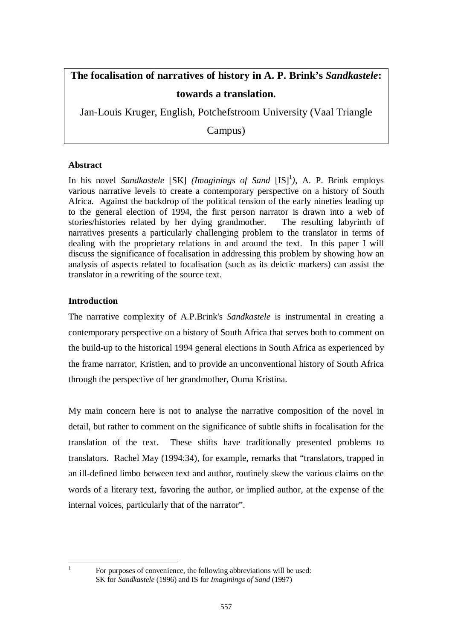## **The focalisation of narratives of history in A. P. Brink's** *Sandkastele***: towards a translation.**

Jan-Louis Kruger, English, Potchefstroom University (Vaal Triangle

Campus)

## **Abstract**

In his novel *Sandkastele* [SK] (*Imaginings of Sand* [IS]<sup>1</sup>), A. P. Brink employs various narrative levels to create a contemporary perspective on a history of South Africa. Against the backdrop of the political tension of the early nineties leading up to the general election of 1994, the first person narrator is drawn into a web of stories/histories related by her dying grandmother. The resulting labyrinth of narratives presents a particularly challenging problem to the translator in terms of dealing with the proprietary relations in and around the text. In this paper I will discuss the significance of focalisation in addressing this problem by showing how an analysis of aspects related to focalisation (such as its deictic markers) can assist the translator in a rewriting of the source text.

## **Introduction**

The narrative complexity of A.P.Brink's *Sandkastele* is instrumental in creating a contemporary perspective on a history of South Africa that serves both to comment on the build-up to the historical 1994 general elections in South Africa as experienced by the frame narrator, Kristien, and to provide an unconventional history of South Africa through the perspective of her grandmother, Ouma Kristina.

My main concern here is not to analyse the narrative composition of the novel in detail, but rather to comment on the significance of subtle shifts in focalisation for the translation of the text. These shifts have traditionally presented problems to translators. Rachel May (1994:34), for example, remarks that "translators, trapped in an ill-defined limbo between text and author, routinely skew the various claims on the words of a literary text, favoring the author, or implied author, at the expense of the internal voices, particularly that of the narrator".

 $\frac{1}{1}$ 

For purposes of convenience, the following abbreviations will be used: SK for *Sandkastele* (1996) and IS for *Imaginings of Sand* (1997)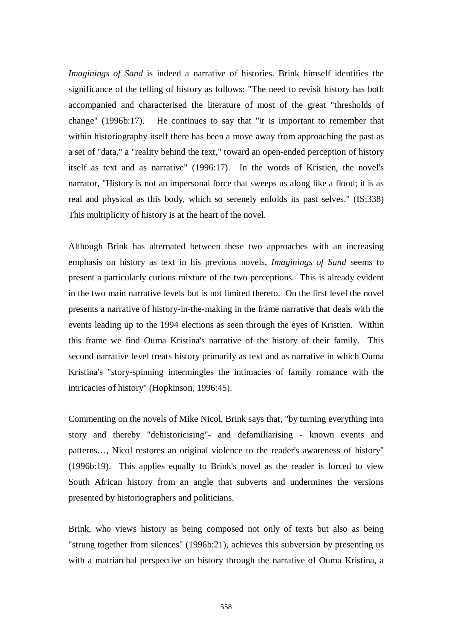*Imaginings of Sand* is indeed a narrative of histories. Brink himself identifies the significance of the telling of history as follows: "The need to revisit history has both accompanied and characterised the literature of most of the great "thresholds of change" (1996b:17). He continues to say that "it is important to remember that within historiography itself there has been a move away from approaching the past as a set of "data," a "reality behind the text," toward an open-ended perception of history itself as text and as narrative" (1996:17). In the words of Kristien, the novel's narrator, "History is not an impersonal force that sweeps us along like a flood; it is as real and physical as this body, which so serenely enfolds its past selves." (IS:338) This multiplicity of history is at the heart of the novel.

Although Brink has alternated between these two approaches with an increasing emphasis on history as text in his previous novels, *Imaginings of Sand* seems to present a particularly curious mixture of the two perceptions. This is already evident in the two main narrative levels but is not limited thereto. On the first level the novel presents a narrative of history-in-the-making in the frame narrative that deals with the events leading up to the 1994 elections as seen through the eyes of Kristien. Within this frame we find Ouma Kristina's narrative of the history of their family. This second narrative level treats history primarily as text and as narrative in which Ouma Kristina's "story-spinning intermingles the intimacies of family romance with the intricacies of history" (Hopkinson, 1996:45).

Commenting on the novels of Mike Nicol, Brink says that, "by turning everything into story and thereby "dehistoricising"- and defamiliarising - known events and patterns…, Nicol restores an original violence to the reader's awareness of history" (1996b:19). This applies equally to Brink's novel as the reader is forced to view South African history from an angle that subverts and undermines the versions presented by historiographers and politicians.

Brink, who views history as being composed not only of texts but also as being "strung together from silences" (1996b:21), achieves this subversion by presenting us with a matriarchal perspective on history through the narrative of Ouma Kristina, a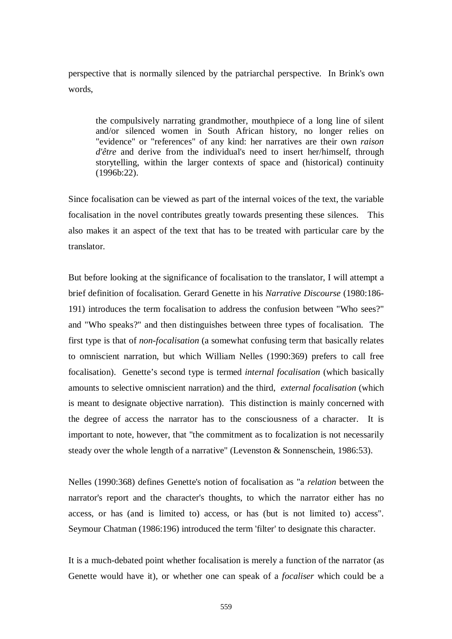perspective that is normally silenced by the patriarchal perspective. In Brink's own words,

the compulsively narrating grandmother, mouthpiece of a long line of silent and/or silenced women in South African history, no longer relies on "evidence" or "references" of any kind: her narratives are their own *raison d'être* and derive from the individual's need to insert her/himself, through storytelling, within the larger contexts of space and (historical) continuity (1996b:22).

Since focalisation can be viewed as part of the internal voices of the text, the variable focalisation in the novel contributes greatly towards presenting these silences. This also makes it an aspect of the text that has to be treated with particular care by the translator.

But before looking at the significance of focalisation to the translator, I will attempt a brief definition of focalisation. Gerard Genette in his *Narrative Discourse* (1980:186- 191) introduces the term focalisation to address the confusion between "Who sees?" and "Who speaks?" and then distinguishes between three types of focalisation. The first type is that of *non-focalisation* (a somewhat confusing term that basically relates to omniscient narration, but which William Nelles (1990:369) prefers to call free focalisation). Genette's second type is termed *internal focalisation* (which basically amounts to selective omniscient narration) and the third, *external focalisation* (which is meant to designate objective narration). This distinction is mainly concerned with the degree of access the narrator has to the consciousness of a character. It is important to note, however, that "the commitment as to focalization is not necessarily steady over the whole length of a narrative" (Levenston & Sonnenschein, 1986:53).

Nelles (1990:368) defines Genette's notion of focalisation as "a *relation* between the narrator's report and the character's thoughts, to which the narrator either has no access, or has (and is limited to) access, or has (but is not limited to) access". Seymour Chatman (1986:196) introduced the term 'filter' to designate this character.

It is a much-debated point whether focalisation is merely a function of the narrator (as Genette would have it), or whether one can speak of a *focaliser* which could be a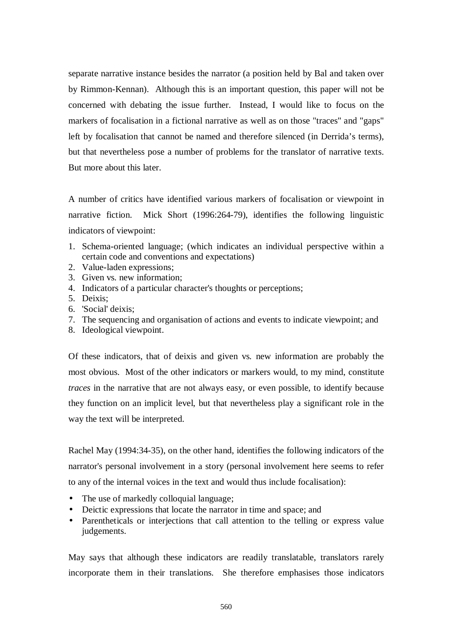separate narrative instance besides the narrator (a position held by Bal and taken over by Rimmon-Kennan). Although this is an important question, this paper will not be concerned with debating the issue further. Instead, I would like to focus on the markers of focalisation in a fictional narrative as well as on those "traces" and "gaps" left by focalisation that cannot be named and therefore silenced (in Derrida's terms), but that nevertheless pose a number of problems for the translator of narrative texts. But more about this later.

A number of critics have identified various markers of focalisation or viewpoint in narrative fiction. Mick Short (1996:264-79), identifies the following linguistic indicators of viewpoint:

- 1. Schema-oriented language; (which indicates an individual perspective within a certain code and conventions and expectations)
- 2. Value-laden expressions;
- 3. Given vs*.* new information;
- 4. Indicators of a particular character's thoughts or perceptions;
- 5. Deixis;
- 6. 'Social' deixis;
- 7. The sequencing and organisation of actions and events to indicate viewpoint; and
- 8. Ideological viewpoint.

Of these indicators, that of deixis and given vs*.* new information are probably the most obvious. Most of the other indicators or markers would, to my mind, constitute *traces* in the narrative that are not always easy, or even possible, to identify because they function on an implicit level, but that nevertheless play a significant role in the way the text will be interpreted.

Rachel May (1994:34-35), on the other hand, identifies the following indicators of the narrator's personal involvement in a story (personal involvement here seems to refer to any of the internal voices in the text and would thus include focalisation):

- The use of markedly colloquial language;
- Deictic expressions that locate the narrator in time and space; and
- Parentheticals or interjections that call attention to the telling or express value judgements.

May says that although these indicators are readily translatable, translators rarely incorporate them in their translations. She therefore emphasises those indicators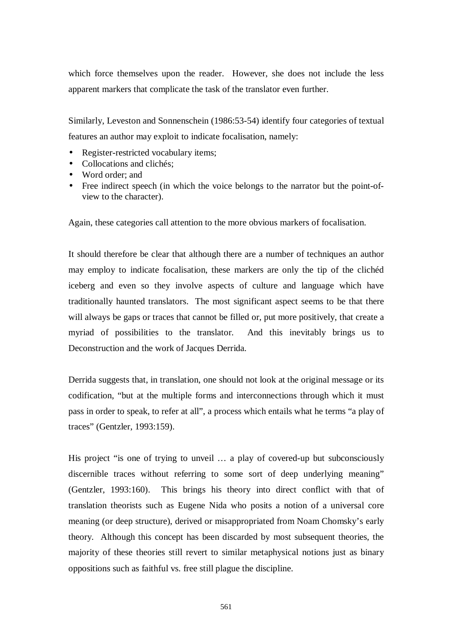which force themselves upon the reader. However, she does not include the less apparent markers that complicate the task of the translator even further.

Similarly, Leveston and Sonnenschein (1986:53-54) identify four categories of textual features an author may exploit to indicate focalisation, namely:

- Register-restricted vocabulary items;
- Collocations and clichés:
- Word order: and
- Free indirect speech (in which the voice belongs to the narrator but the point-ofview to the character).

Again, these categories call attention to the more obvious markers of focalisation.

It should therefore be clear that although there are a number of techniques an author may employ to indicate focalisation, these markers are only the tip of the clichéd iceberg and even so they involve aspects of culture and language which have traditionally haunted translators. The most significant aspect seems to be that there will always be gaps or traces that cannot be filled or, put more positively, that create a myriad of possibilities to the translator. And this inevitably brings us to Deconstruction and the work of Jacques Derrida.

Derrida suggests that, in translation, one should not look at the original message or its codification, "but at the multiple forms and interconnections through which it must pass in order to speak, to refer at all", a process which entails what he terms "a play of traces" (Gentzler, 1993:159).

His project "is one of trying to unveil … a play of covered-up but subconsciously discernible traces without referring to some sort of deep underlying meaning" (Gentzler, 1993:160). This brings his theory into direct conflict with that of translation theorists such as Eugene Nida who posits a notion of a universal core meaning (or deep structure), derived or misappropriated from Noam Chomsky's early theory. Although this concept has been discarded by most subsequent theories, the majority of these theories still revert to similar metaphysical notions just as binary oppositions such as faithful vs. free still plague the discipline.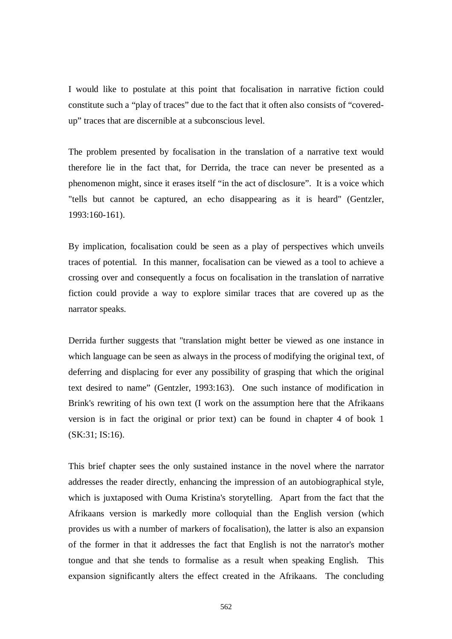I would like to postulate at this point that focalisation in narrative fiction could constitute such a "play of traces" due to the fact that it often also consists of "coveredup" traces that are discernible at a subconscious level.

The problem presented by focalisation in the translation of a narrative text would therefore lie in the fact that, for Derrida, the trace can never be presented as a phenomenon might, since it erases itself "in the act of disclosure". It is a voice which "tells but cannot be captured, an echo disappearing as it is heard" (Gentzler, 1993:160-161).

By implication, focalisation could be seen as a play of perspectives which unveils traces of potential. In this manner, focalisation can be viewed as a tool to achieve a crossing over and consequently a focus on focalisation in the translation of narrative fiction could provide a way to explore similar traces that are covered up as the narrator speaks.

Derrida further suggests that "translation might better be viewed as one instance in which language can be seen as always in the process of modifying the original text, of deferring and displacing for ever any possibility of grasping that which the original text desired to name" (Gentzler, 1993:163). One such instance of modification in Brink's rewriting of his own text (I work on the assumption here that the Afrikaans version is in fact the original or prior text) can be found in chapter 4 of book 1 (SK:31; IS:16).

This brief chapter sees the only sustained instance in the novel where the narrator addresses the reader directly, enhancing the impression of an autobiographical style, which is juxtaposed with Ouma Kristina's storytelling. Apart from the fact that the Afrikaans version is markedly more colloquial than the English version (which provides us with a number of markers of focalisation), the latter is also an expansion of the former in that it addresses the fact that English is not the narrator's mother tongue and that she tends to formalise as a result when speaking English. This expansion significantly alters the effect created in the Afrikaans. The concluding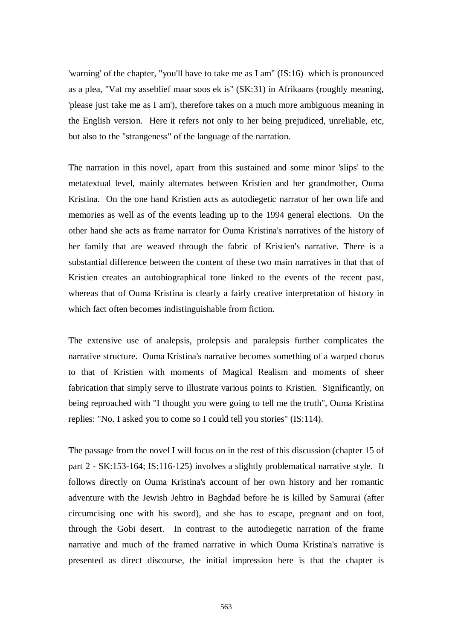'warning' of the chapter, "you'll have to take me as I am" (IS:16) which is pronounced as a plea, "Vat my asseblief maar soos ek is" (SK:31) in Afrikaans (roughly meaning, 'please just take me as I am'), therefore takes on a much more ambiguous meaning in the English version. Here it refers not only to her being prejudiced, unreliable, etc, but also to the "strangeness" of the language of the narration.

The narration in this novel, apart from this sustained and some minor 'slips' to the metatextual level, mainly alternates between Kristien and her grandmother, Ouma Kristina. On the one hand Kristien acts as autodiegetic narrator of her own life and memories as well as of the events leading up to the 1994 general elections. On the other hand she acts as frame narrator for Ouma Kristina's narratives of the history of her family that are weaved through the fabric of Kristien's narrative. There is a substantial difference between the content of these two main narratives in that that of Kristien creates an autobiographical tone linked to the events of the recent past, whereas that of Ouma Kristina is clearly a fairly creative interpretation of history in which fact often becomes indistinguishable from fiction.

The extensive use of analepsis, prolepsis and paralepsis further complicates the narrative structure. Ouma Kristina's narrative becomes something of a warped chorus to that of Kristien with moments of Magical Realism and moments of sheer fabrication that simply serve to illustrate various points to Kristien. Significantly, on being reproached with "I thought you were going to tell me the truth", Ouma Kristina replies: "No. I asked you to come so I could tell you stories" (IS:114).

The passage from the novel I will focus on in the rest of this discussion (chapter 15 of part 2 - SK:153-164; IS:116-125) involves a slightly problematical narrative style. It follows directly on Ouma Kristina's account of her own history and her romantic adventure with the Jewish Jehtro in Baghdad before he is killed by Samurai (after circumcising one with his sword), and she has to escape, pregnant and on foot, through the Gobi desert. In contrast to the autodiegetic narration of the frame narrative and much of the framed narrative in which Ouma Kristina's narrative is presented as direct discourse, the initial impression here is that the chapter is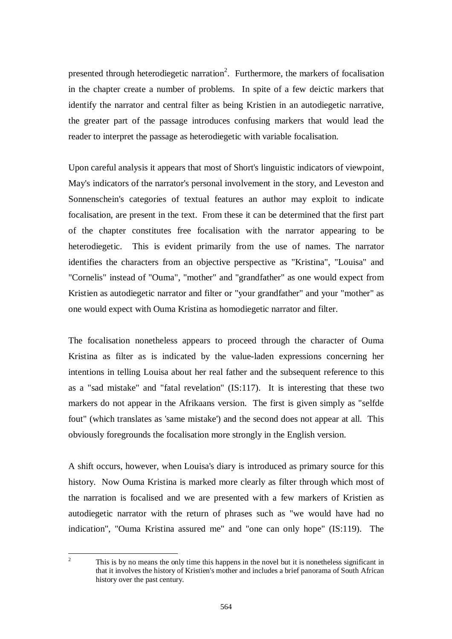presented through heterodiegetic narration<sup>2</sup>. Furthermore, the markers of focalisation in the chapter create a number of problems. In spite of a few deictic markers that identify the narrator and central filter as being Kristien in an autodiegetic narrative, the greater part of the passage introduces confusing markers that would lead the reader to interpret the passage as heterodiegetic with variable focalisation.

Upon careful analysis it appears that most of Short's linguistic indicators of viewpoint, May's indicators of the narrator's personal involvement in the story, and Leveston and Sonnenschein's categories of textual features an author may exploit to indicate focalisation, are present in the text. From these it can be determined that the first part of the chapter constitutes free focalisation with the narrator appearing to be heterodiegetic. This is evident primarily from the use of names. The narrator identifies the characters from an objective perspective as "Kristina", "Louisa" and "Cornelis" instead of "Ouma", "mother" and "grandfather" as one would expect from Kristien as autodiegetic narrator and filter or "your grandfather" and your "mother" as one would expect with Ouma Kristina as homodiegetic narrator and filter.

The focalisation nonetheless appears to proceed through the character of Ouma Kristina as filter as is indicated by the value-laden expressions concerning her intentions in telling Louisa about her real father and the subsequent reference to this as a "sad mistake" and "fatal revelation" (IS:117). It is interesting that these two markers do not appear in the Afrikaans version. The first is given simply as "selfde fout" (which translates as 'same mistake') and the second does not appear at all. This obviously foregrounds the focalisation more strongly in the English version.

A shift occurs, however, when Louisa's diary is introduced as primary source for this history. Now Ouma Kristina is marked more clearly as filter through which most of the narration is focalised and we are presented with a few markers of Kristien as autodiegetic narrator with the return of phrases such as "we would have had no indication", "Ouma Kristina assured me" and "one can only hope" (IS:119). The

 $\frac{1}{2}$ 

This is by no means the only time this happens in the novel but it is nonetheless significant in that it involves the history of Kristien's mother and includes a brief panorama of South African history over the past century.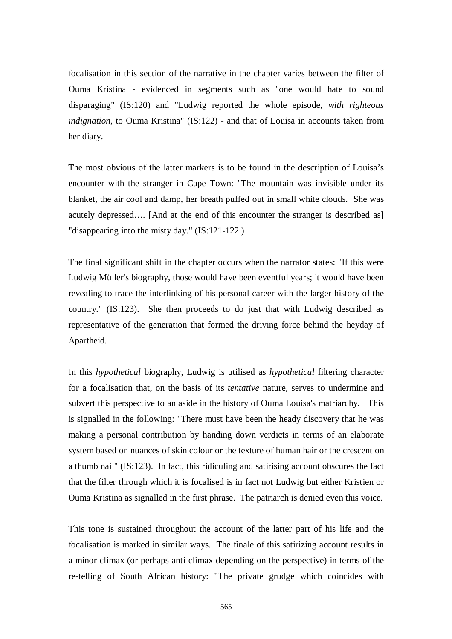focalisation in this section of the narrative in the chapter varies between the filter of Ouma Kristina - evidenced in segments such as "one would hate to sound disparaging" (IS:120) and "Ludwig reported the whole episode, *with righteous indignation*, to Ouma Kristina" (IS:122) - and that of Louisa in accounts taken from her diary.

The most obvious of the latter markers is to be found in the description of Louisa's encounter with the stranger in Cape Town: "The mountain was invisible under its blanket, the air cool and damp, her breath puffed out in small white clouds. She was acutely depressed…. [And at the end of this encounter the stranger is described as] "disappearing into the misty day." (IS:121-122.)

The final significant shift in the chapter occurs when the narrator states: "If this were Ludwig Müller's biography, those would have been eventful years; it would have been revealing to trace the interlinking of his personal career with the larger history of the country." (IS:123). She then proceeds to do just that with Ludwig described as representative of the generation that formed the driving force behind the heyday of Apartheid.

In this *hypothetical* biography, Ludwig is utilised as *hypothetical* filtering character for a focalisation that, on the basis of its *tentative* nature, serves to undermine and subvert this perspective to an aside in the history of Ouma Louisa's matriarchy. This is signalled in the following: "There must have been the heady discovery that he was making a personal contribution by handing down verdicts in terms of an elaborate system based on nuances of skin colour or the texture of human hair or the crescent on a thumb nail" (IS:123). In fact, this ridiculing and satirising account obscures the fact that the filter through which it is focalised is in fact not Ludwig but either Kristien or Ouma Kristina as signalled in the first phrase. The patriarch is denied even this voice.

This tone is sustained throughout the account of the latter part of his life and the focalisation is marked in similar ways. The finale of this satirizing account results in a minor climax (or perhaps anti-climax depending on the perspective) in terms of the re-telling of South African history: "The private grudge which coincides with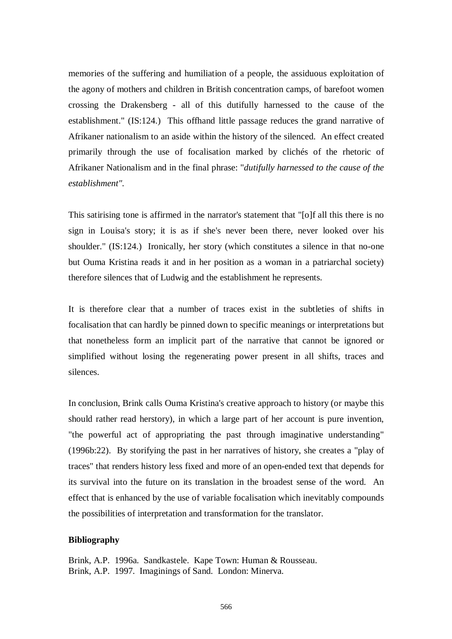memories of the suffering and humiliation of a people, the assiduous exploitation of the agony of mothers and children in British concentration camps, of barefoot women crossing the Drakensberg - all of this dutifully harnessed to the cause of the establishment." (IS:124.) This offhand little passage reduces the grand narrative of Afrikaner nationalism to an aside within the history of the silenced. An effect created primarily through the use of focalisation marked by clichés of the rhetoric of Afrikaner Nationalism and in the final phrase: "*dutifully harnessed to the cause of the establishment".* 

This satirising tone is affirmed in the narrator's statement that "[o]f all this there is no sign in Louisa's story; it is as if she's never been there, never looked over his shoulder." (IS:124.) Ironically, her story (which constitutes a silence in that no-one but Ouma Kristina reads it and in her position as a woman in a patriarchal society) therefore silences that of Ludwig and the establishment he represents.

It is therefore clear that a number of traces exist in the subtleties of shifts in focalisation that can hardly be pinned down to specific meanings or interpretations but that nonetheless form an implicit part of the narrative that cannot be ignored or simplified without losing the regenerating power present in all shifts, traces and silences.

In conclusion, Brink calls Ouma Kristina's creative approach to history (or maybe this should rather read herstory), in which a large part of her account is pure invention, "the powerful act of appropriating the past through imaginative understanding" (1996b:22). By storifying the past in her narratives of history, she creates a "play of traces" that renders history less fixed and more of an open-ended text that depends for its survival into the future on its translation in the broadest sense of the word. An effect that is enhanced by the use of variable focalisation which inevitably compounds the possibilities of interpretation and transformation for the translator.

## **Bibliography**

Brink, A.P. 1996a. Sandkastele. Kape Town: Human & Rousseau. Brink, A.P. 1997. Imaginings of Sand. London: Minerva.